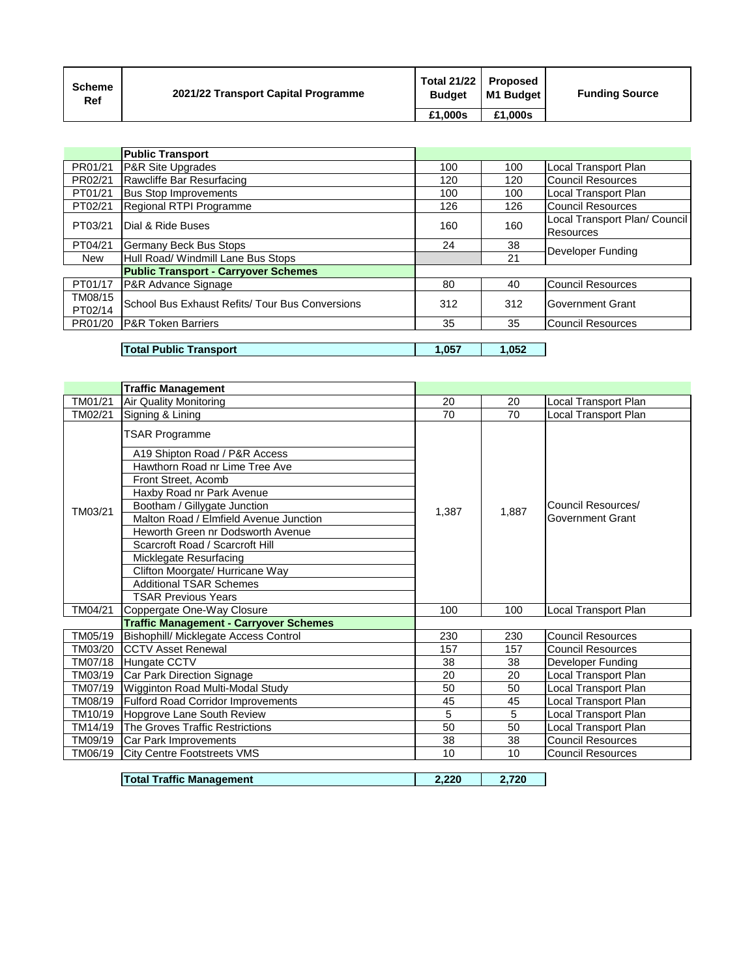| <b>Scheme</b><br>Ref | 2021/22 Transport Capital Programme | <b>Total 21/22</b><br><b>Budget</b> | <b>Proposed</b><br>M1 Budaet I | <b>Funding Source</b> |
|----------------------|-------------------------------------|-------------------------------------|--------------------------------|-----------------------|
|                      |                                     | £1.000s                             | £1.000s                        |                       |

|         | <b>Public Transport</b>                         |     |     |                               |
|---------|-------------------------------------------------|-----|-----|-------------------------------|
| PR01/21 | <b>P&amp;R Site Upgrades</b>                    | 100 | 100 | Local Transport Plan          |
| PR02/21 | Rawcliffe Bar Resurfacing                       | 120 | 120 | <b>Council Resources</b>      |
| PT01/21 | <b>Bus Stop Improvements</b>                    | 100 | 100 | Local Transport Plan          |
| PT02/21 | Regional RTPI Programme                         | 126 | 126 | <b>Council Resources</b>      |
| PT03/21 | Dial & Ride Buses                               | 160 | 160 | Local Transport Plan/ Council |
|         |                                                 |     |     | Resources                     |
| PT04/21 | Germany Beck Bus Stops                          | 24  | 38  | Developer Funding             |
| New     | Hull Road/ Windmill Lane Bus Stops              |     | 21  |                               |
|         | <b>Public Transport - Carryover Schemes</b>     |     |     |                               |
| PT01/17 | P&R Advance Signage                             | 80  | 40  | <b>Council Resources</b>      |
| TM08/15 | School Bus Exhaust Refits/ Tour Bus Conversions | 312 | 312 | Government Grant              |
| PT02/14 |                                                 |     |     |                               |
| PR01/20 | <b>P&amp;R Token Barriers</b>                   | 35  | 35  | Council Resources             |
|         |                                                 |     |     |                               |

## 0 **Total Public Transport 1,057 1,052**

0 0

|         | <b>Traffic Management</b>                                                                                                                                                                                                                                                                                                                                                                     |       |       |                                               |
|---------|-----------------------------------------------------------------------------------------------------------------------------------------------------------------------------------------------------------------------------------------------------------------------------------------------------------------------------------------------------------------------------------------------|-------|-------|-----------------------------------------------|
| TM01/21 | <b>Air Quality Monitoring</b>                                                                                                                                                                                                                                                                                                                                                                 | 20    | 20    | Local Transport Plan                          |
| TM02/21 | Signing & Lining                                                                                                                                                                                                                                                                                                                                                                              | 70    | 70    | Local Transport Plan                          |
| TM03/21 | <b>TSAR Programme</b><br>A19 Shipton Road / P&R Access<br>Hawthorn Road nr Lime Tree Ave<br>Front Street, Acomb<br>Haxby Road nr Park Avenue<br>Bootham / Gillygate Junction<br>Malton Road / Elmfield Avenue Junction<br>Heworth Green nr Dodsworth Avenue<br>Scarcroft Road / Scarcroft Hill<br>Micklegate Resurfacing<br>Clifton Moorgate/ Hurricane Way<br><b>Additional TSAR Schemes</b> | 1.387 | 1.887 | Council Resources/<br><b>Government Grant</b> |
| TM04/21 | <b>TSAR Previous Years</b><br>Coppergate One-Way Closure                                                                                                                                                                                                                                                                                                                                      | 100   | 100   | Local Transport Plan                          |
|         | <b>Traffic Management - Carryover Schemes</b>                                                                                                                                                                                                                                                                                                                                                 |       |       |                                               |
| TM05/19 | Bishophill/ Micklegate Access Control                                                                                                                                                                                                                                                                                                                                                         | 230   | 230   | <b>Council Resources</b>                      |
| TM03/20 | <b>CCTV Asset Renewal</b>                                                                                                                                                                                                                                                                                                                                                                     | 157   | 157   | <b>Council Resources</b>                      |
| TM07/18 | Hungate CCTV                                                                                                                                                                                                                                                                                                                                                                                  | 38    | 38    | Developer Funding                             |
| TM03/19 | Car Park Direction Signage                                                                                                                                                                                                                                                                                                                                                                    | 20    | 20    | ocal Transport Plan                           |
| TM07/19 | Wigginton Road Multi-Modal Study                                                                                                                                                                                                                                                                                                                                                              | 50    | 50    | Local Transport Plan                          |
| TM08/19 | <b>Fulford Road Corridor Improvements</b>                                                                                                                                                                                                                                                                                                                                                     | 45    | 45    | Local Transport Plan                          |
| TM10/19 | Hopgrove Lane South Review                                                                                                                                                                                                                                                                                                                                                                    | 5     | 5     | Local Transport Plan                          |
| TM14/19 | The Groves Traffic Restrictions                                                                                                                                                                                                                                                                                                                                                               | 50    | 50    | Local Transport Plan                          |
| TM09/19 | Car Park Improvements                                                                                                                                                                                                                                                                                                                                                                         | 38    | 38    | Council Resources                             |
| TM06/19 | <b>City Centre Footstreets VMS</b>                                                                                                                                                                                                                                                                                                                                                            | 10    | 10    | <b>Council Resources</b>                      |
|         | <b>Total Traffic Management</b>                                                                                                                                                                                                                                                                                                                                                               | 2,220 | 2.720 |                                               |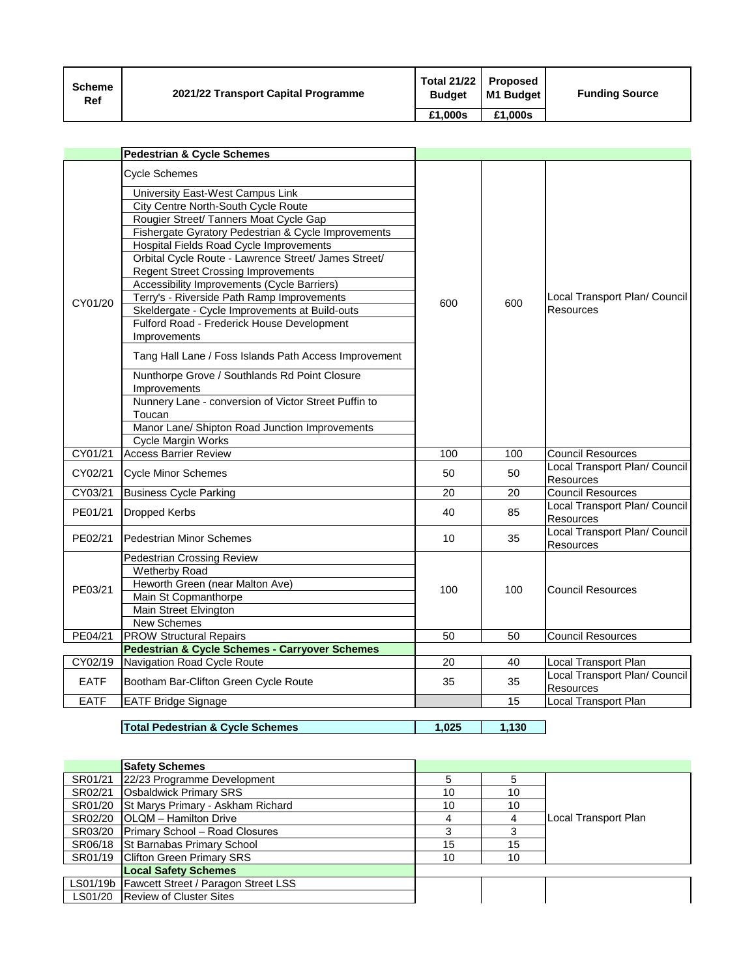| <b>Scheme</b><br>Ref | 2021/22 Transport Capital Programme | Total 21/22 Proposed<br><b>Budget</b> | M1 Budget | <b>Funding Source</b> |
|----------------------|-------------------------------------|---------------------------------------|-----------|-----------------------|
|                      |                                     | £1.000s                               | £1.000s   |                       |

|             | <b>Pedestrian &amp; Cycle Schemes</b>                                                                                                                                                                                                                                                                                                                                                                                                                                                                                                                                                                                                                                                                                                                                                                                                     |                 |     |                                                   |
|-------------|-------------------------------------------------------------------------------------------------------------------------------------------------------------------------------------------------------------------------------------------------------------------------------------------------------------------------------------------------------------------------------------------------------------------------------------------------------------------------------------------------------------------------------------------------------------------------------------------------------------------------------------------------------------------------------------------------------------------------------------------------------------------------------------------------------------------------------------------|-----------------|-----|---------------------------------------------------|
| CY01/20     | <b>Cycle Schemes</b><br>University East-West Campus Link<br>City Centre North-South Cycle Route<br>Rougier Street/ Tanners Moat Cycle Gap<br>Fishergate Gyratory Pedestrian & Cycle Improvements<br>Hospital Fields Road Cycle Improvements<br>Orbital Cycle Route - Lawrence Street/ James Street/<br><b>Regent Street Crossing Improvements</b><br>Accessibility Improvements (Cycle Barriers)<br>Terry's - Riverside Path Ramp Improvements<br>Skeldergate - Cycle Improvements at Build-outs<br>Fulford Road - Frederick House Development<br>Improvements<br>Tang Hall Lane / Foss Islands Path Access Improvement<br>Nunthorpe Grove / Southlands Rd Point Closure<br>Improvements<br>Nunnery Lane - conversion of Victor Street Puffin to<br>Toucan<br>Manor Lane/ Shipton Road Junction Improvements<br><b>Cycle Margin Works</b> | 600             | 600 | Local Transport Plan/ Council<br>Resources        |
| CY01/21     | <b>Access Barrier Review</b>                                                                                                                                                                                                                                                                                                                                                                                                                                                                                                                                                                                                                                                                                                                                                                                                              | 100             | 100 | <b>Council Resources</b>                          |
| CY02/21     | Cycle Minor Schemes                                                                                                                                                                                                                                                                                                                                                                                                                                                                                                                                                                                                                                                                                                                                                                                                                       | 50              | 50  | Local Transport Plan/ Council<br>Resources        |
| CY03/21     | <b>Business Cycle Parking</b>                                                                                                                                                                                                                                                                                                                                                                                                                                                                                                                                                                                                                                                                                                                                                                                                             | 20              | 20  | <b>Council Resources</b>                          |
| PE01/21     | Dropped Kerbs                                                                                                                                                                                                                                                                                                                                                                                                                                                                                                                                                                                                                                                                                                                                                                                                                             | 40              | 85  | Local Transport Plan/ Council<br><b>Resources</b> |
| PE02/21     | <b>Pedestrian Minor Schemes</b>                                                                                                                                                                                                                                                                                                                                                                                                                                                                                                                                                                                                                                                                                                                                                                                                           | 10              | 35  | Local Transport Plan/ Council<br><b>Resources</b> |
| PE03/21     | Pedestrian Crossing Review<br><b>Wetherby Road</b><br>Heworth Green (near Malton Ave)<br>Main St Copmanthorpe<br>Main Street Elvington<br><b>New Schemes</b>                                                                                                                                                                                                                                                                                                                                                                                                                                                                                                                                                                                                                                                                              | 100             | 100 | <b>Council Resources</b>                          |
| PE04/21     | <b>PROW Structural Repairs</b>                                                                                                                                                                                                                                                                                                                                                                                                                                                                                                                                                                                                                                                                                                                                                                                                            | 50              | 50  | <b>Council Resources</b>                          |
|             | <b>Pedestrian &amp; Cycle Schemes - Carryover Schemes</b>                                                                                                                                                                                                                                                                                                                                                                                                                                                                                                                                                                                                                                                                                                                                                                                 |                 |     |                                                   |
| CY02/19     | Navigation Road Cycle Route                                                                                                                                                                                                                                                                                                                                                                                                                                                                                                                                                                                                                                                                                                                                                                                                               | $\overline{20}$ | 40  | <b>Local Transport Plan</b>                       |
| <b>EATF</b> | Bootham Bar-Clifton Green Cycle Route                                                                                                                                                                                                                                                                                                                                                                                                                                                                                                                                                                                                                                                                                                                                                                                                     | 35              | 35  | Local Transport Plan/ Council<br>Resources        |
| <b>EATF</b> | <b>EATF Bridge Signage</b>                                                                                                                                                                                                                                                                                                                                                                                                                                                                                                                                                                                                                                                                                                                                                                                                                |                 | 15  | <b>Local Transport Plan</b>                       |

0 **Total Pedestrian & Cycle Schemes 1,025 1,130**

0 0

|         | <b>Safety Schemes</b>                        |    |    |                      |
|---------|----------------------------------------------|----|----|----------------------|
| SR01/21 | 22/23 Programme Development                  |    | 5  |                      |
| SR02/21 | <b>Osbaldwick Primary SRS</b>                | 10 | 10 |                      |
| SR01/20 | <b>St Marys Primary - Askham Richard</b>     | 10 | 10 |                      |
| SR02/20 | <b>OLQM</b> - Hamilton Drive                 | 4  | 4  | Local Transport Plan |
| SR03/20 | <b>Primary School - Road Closures</b>        | 3  | 3  |                      |
| SR06/18 | <b>St Barnabas Primary School</b>            | 15 | 15 |                      |
|         | SR01/19   Clifton Green Primary SRS          | 10 | 10 |                      |
|         | <b>Local Safety Schemes</b>                  |    |    |                      |
|         | LS01/19b Fawcett Street / Paragon Street LSS |    |    |                      |
|         | LS01/20 Review of Cluster Sites              |    |    |                      |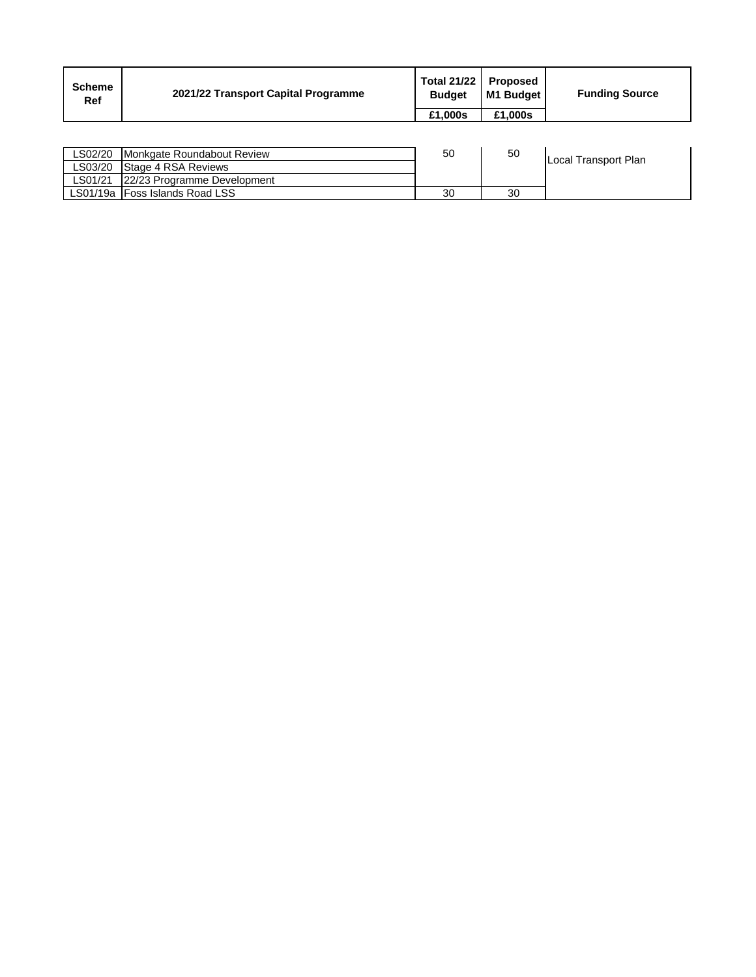| <b>Scheme</b><br>Ref | 2021/22 Transport Capital Programme | Total 21/22<br><b>Budget</b> | Proposed<br>M1 Budget | <b>Funding Source</b> |
|----------------------|-------------------------------------|------------------------------|-----------------------|-----------------------|
|                      |                                     | £1.000s                      | £1.000s               |                       |

| LS02/20 | Monkgate Roundabout Review       | 50 | 50 | Local Transport Plan |
|---------|----------------------------------|----|----|----------------------|
| ∟S03/20 | <b>Stage 4 RSA Reviews</b>       |    |    |                      |
| LS01/21 | 22/23 Programme Development      |    |    |                      |
|         | LS01/19a   Foss Islands Road LSS | 30 | 30 |                      |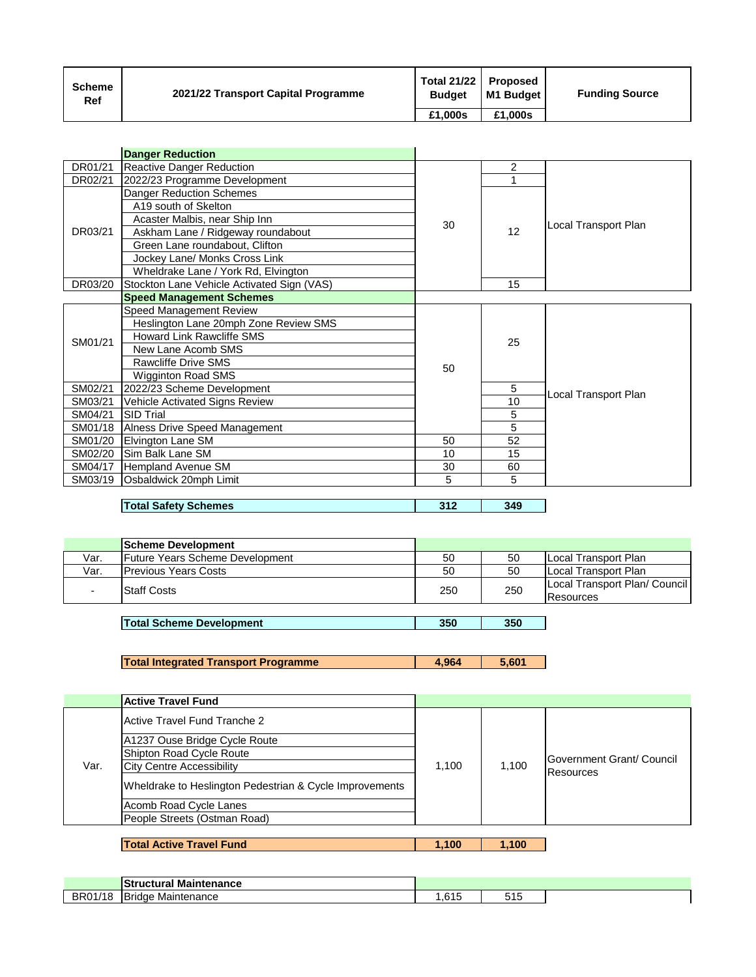| <b>Scheme</b><br>Ref | 2021/22 Transport Capital Programme | Total 21/22<br><b>Budget</b> | Proposed<br>I M1 Budaet | <b>Funding Source</b> |
|----------------------|-------------------------------------|------------------------------|-------------------------|-----------------------|
|                      |                                     | £1,000s                      | £1.000s                 |                       |

|         | <b>Danger Reduction</b>                    |    |    |                      |
|---------|--------------------------------------------|----|----|----------------------|
| DR01/21 | <b>Reactive Danger Reduction</b>           |    | 2  |                      |
| DR02/21 | 2022/23 Programme Development              |    |    |                      |
|         | <b>Danger Reduction Schemes</b>            |    |    |                      |
|         | A19 south of Skelton                       |    |    |                      |
|         | Acaster Malbis, near Ship Inn              | 30 |    | Local Transport Plan |
| DR03/21 | Askham Lane / Ridgeway roundabout          |    | 12 |                      |
|         | Green Lane roundabout, Clifton             |    |    |                      |
|         | Jockey Lane/ Monks Cross Link              |    |    |                      |
|         | Wheldrake Lane / York Rd, Elvington        |    |    |                      |
| DR03/20 | Stockton Lane Vehicle Activated Sign (VAS) |    | 15 |                      |
|         | <b>Speed Management Schemes</b>            |    |    |                      |
|         | Speed Management Review                    |    |    |                      |
|         | Heslington Lane 20mph Zone Review SMS      |    |    |                      |
| SM01/21 | <b>Howard Link Rawcliffe SMS</b>           |    | 25 |                      |
|         | New Lane Acomb SMS                         |    |    |                      |
|         | <b>Rawcliffe Drive SMS</b>                 | 50 |    |                      |
|         | <b>Wigginton Road SMS</b>                  |    |    |                      |
| SM02/21 | 2022/23 Scheme Development                 |    | 5  | Local Transport Plan |
| SM03/21 | Vehicle Activated Signs Review             |    | 10 |                      |
| SM04/21 | <b>SID Trial</b>                           |    | 5  |                      |
| SM01/18 | Alness Drive Speed Management              |    | 5  |                      |
| SM01/20 | Elvington Lane SM                          | 50 | 52 |                      |
| SM02/20 | Sim Balk Lane SM                           | 10 | 15 |                      |
| SM04/17 | Hempland Avenue SM                         | 30 | 60 |                      |
| SM03/19 | Osbaldwick 20mph Limit                     | 5  | 5  |                      |
|         |                                            |    |    |                      |

| 349<br>312<br>Total<br><b>Safety Schemes</b><br>$\sim$ 1.4 $\sim$ |
|-------------------------------------------------------------------|
|-------------------------------------------------------------------|

|      | <b>Scheme Development</b>              |     |     |                                            |
|------|----------------------------------------|-----|-----|--------------------------------------------|
| Var. | <b>Future Years Scheme Development</b> | 50  | 50  | Local Transport Plan                       |
| Var. | <b>IPrevious Years Costs</b>           | 50  | 50  | Local Transport Plan                       |
|      | <b>Staff Costs</b>                     | 250 | 250 | Local Transport Plan/ Council<br>Resources |
|      |                                        |     |     |                                            |

0 **Total Scheme Development 350 350**

0 **Total Integrated Transport Programme 4,964 5,601**

|      | <b>Active Travel Fund</b>                               |       |       |                                   |
|------|---------------------------------------------------------|-------|-------|-----------------------------------|
|      | Active Travel Fund Tranche 2                            |       |       |                                   |
|      | A1237 Ouse Bridge Cycle Route                           |       |       |                                   |
|      | Shipton Road Cycle Route                                |       |       | <b>IGovernment Grant/ Council</b> |
| Var. | <b>City Centre Accessibility</b>                        | 1,100 | 1,100 | <b>IResources</b>                 |
|      | Wheldrake to Heslington Pedestrian & Cycle Improvements |       |       |                                   |
|      | Acomb Road Cycle Lanes                                  |       |       |                                   |
|      | People Streets (Ostman Road)                            |       |       |                                   |
|      |                                                         |       |       |                                   |
|      | <b>Total Active Travel Fund</b>                         | 1.100 | 1,100 |                                   |

|         | <b>IStructural Maintenance</b> |      |                 |  |
|---------|--------------------------------|------|-----------------|--|
| BR01/18 | <b>Bridge</b><br>Maintenance   | .615 | .<br>- 4<br>◡╷◡ |  |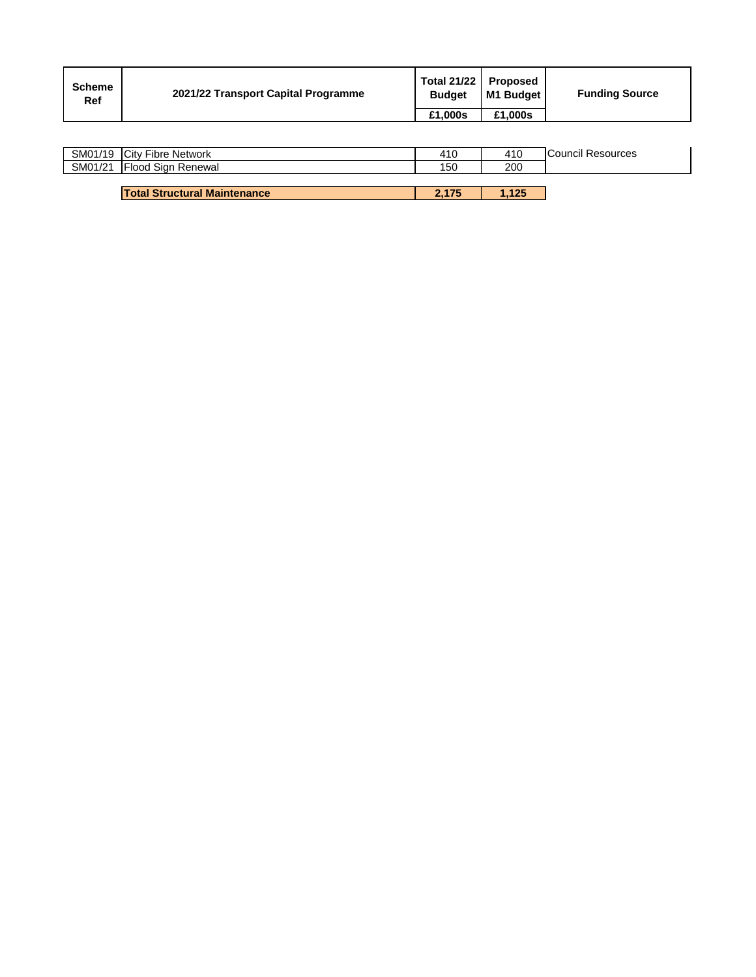| <b>Scheme</b><br>Ref | 2021/22 Transport Capital Programme | Total 21/22 Proposed<br><b>Budget</b> | M1 Budget I | <b>Funding Source</b> |
|----------------------|-------------------------------------|---------------------------------------|-------------|-----------------------|
|                      |                                     | £1.000s                               | £1.000s     |                       |

|         | SM01/19 City Fibre Network          | 410   | 410  | <b>Council Resources</b> |
|---------|-------------------------------------|-------|------|--------------------------|
| SM01/21 | <b>IFlood Sign Renewal</b>          | 150   | 200  |                          |
|         |                                     |       |      |                          |
|         | <b>Total Structural Maintenance</b> | 2.175 | .125 |                          |